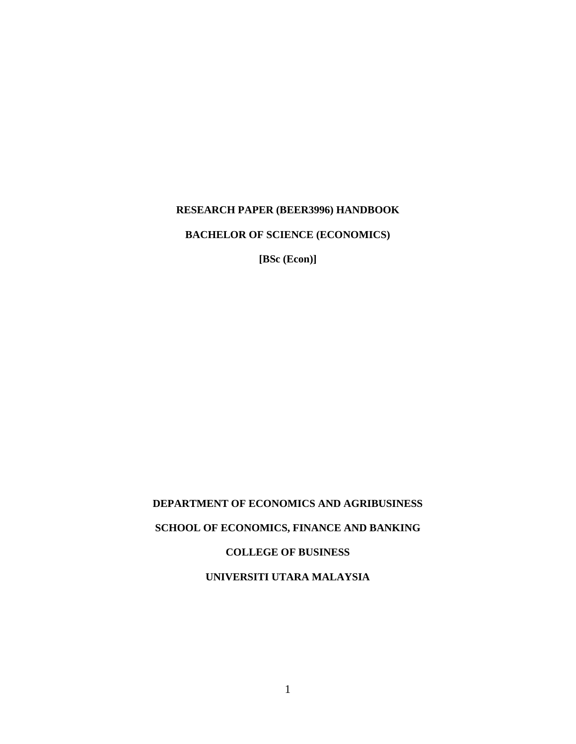# **RESEARCH PAPER (BEER3996) HANDBOOK**

**BACHELOR OF SCIENCE (ECONOMICS)** 

**[BSc (Econ)]**

# **DEPARTMENT OF ECONOMICS AND AGRIBUSINESS SCHOOL OF ECONOMICS, FINANCE AND BANKING COLLEGE OF BUSINESS UNIVERSITI UTARA MALAYSIA**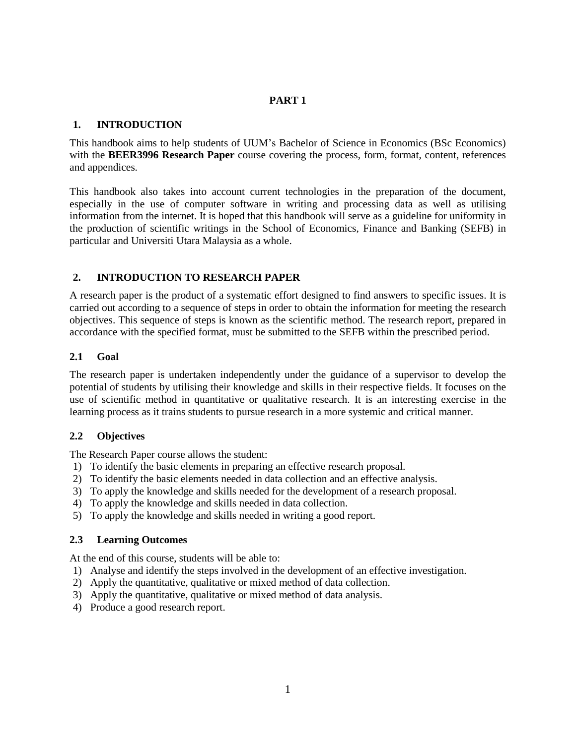# **PART 1**

### **1. INTRODUCTION**

This handbook aims to help students of UUM's Bachelor of Science in Economics (BSc Economics) with the **BEER3996 Research Paper** course covering the process, form, format, content, references and appendices.

This handbook also takes into account current technologies in the preparation of the document, especially in the use of computer software in writing and processing data as well as utilising information from the internet. It is hoped that this handbook will serve as a guideline for uniformity in the production of scientific writings in the School of Economics, Finance and Banking (SEFB) in particular and Universiti Utara Malaysia as a whole.

# **2. INTRODUCTION TO RESEARCH PAPER**

A research paper is the product of a systematic effort designed to find answers to specific issues. It is carried out according to a sequence of steps in order to obtain the information for meeting the research objectives. This sequence of steps is known as the scientific method. The research report, prepared in accordance with the specified format, must be submitted to the SEFB within the prescribed period.

#### **2.1 Goal**

The research paper is undertaken independently under the guidance of a supervisor to develop the potential of students by utilising their knowledge and skills in their respective fields. It focuses on the use of scientific method in quantitative or qualitative research. It is an interesting exercise in the learning process as it trains students to pursue research in a more systemic and critical manner.

# **2.2 Objectives**

The Research Paper course allows the student:

- 1) To identify the basic elements in preparing an effective research proposal.
- 2) To identify the basic elements needed in data collection and an effective analysis.
- 3) To apply the knowledge and skills needed for the development of a research proposal.
- 4) To apply the knowledge and skills needed in data collection.
- 5) To apply the knowledge and skills needed in writing a good report.

# **2.3 Learning Outcomes**

At the end of this course, students will be able to:

- 1) Analyse and identify the steps involved in the development of an effective investigation.
- 2) Apply the quantitative, qualitative or mixed method of data collection.
- 3) Apply the quantitative, qualitative or mixed method of data analysis.
- 4) Produce a good research report.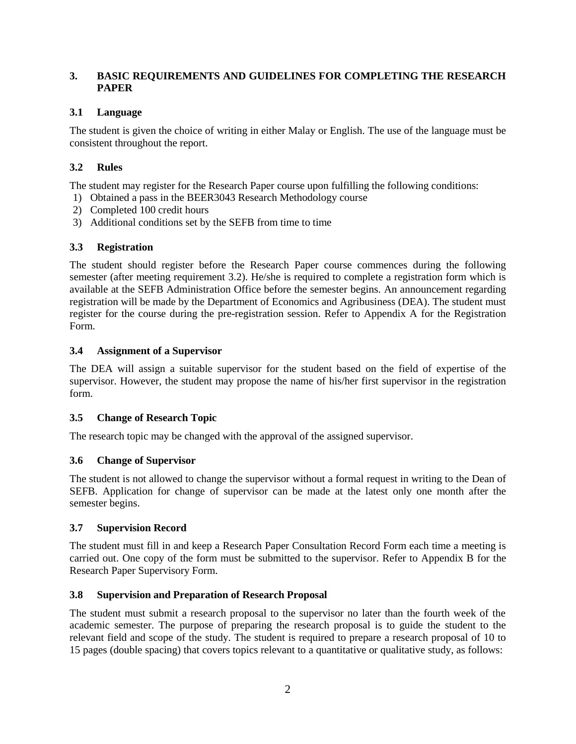# **3. BASIC REQUIREMENTS AND GUIDELINES FOR COMPLETING THE RESEARCH PAPER**

# **3.1 Language**

The student is given the choice of writing in either Malay or English. The use of the language must be consistent throughout the report.

# **3.2 Rules**

The student may register for the Research Paper course upon fulfilling the following conditions:

- 1) Obtained a pass in the BEER3043 Research Methodology course
- 2) Completed 100 credit hours
- 3) Additional conditions set by the SEFB from time to time

# **3.3 Registration**

The student should register before the Research Paper course commences during the following semester (after meeting requirement 3.2). He/she is required to complete a registration form which is available at the SEFB Administration Office before the semester begins. An announcement regarding registration will be made by the Department of Economics and Agribusiness (DEA). The student must register for the course during the pre-registration session. Refer to Appendix A for the Registration Form.

# **3.4 Assignment of a Supervisor**

The DEA will assign a suitable supervisor for the student based on the field of expertise of the supervisor. However, the student may propose the name of his/her first supervisor in the registration form.

# **3.5 Change of Research Topic**

The research topic may be changed with the approval of the assigned supervisor.

# **3.6 Change of Supervisor**

The student is not allowed to change the supervisor without a formal request in writing to the Dean of SEFB. Application for change of supervisor can be made at the latest only one month after the semester begins.

# **3.7 Supervision Record**

The student must fill in and keep a Research Paper Consultation Record Form each time a meeting is carried out. One copy of the form must be submitted to the supervisor. Refer to Appendix B for the Research Paper Supervisory Form.

# **3.8 Supervision and Preparation of Research Proposal**

The student must submit a research proposal to the supervisor no later than the fourth week of the academic semester. The purpose of preparing the research proposal is to guide the student to the relevant field and scope of the study. The student is required to prepare a research proposal of 10 to 15 pages (double spacing) that covers topics relevant to a quantitative or qualitative study, as follows: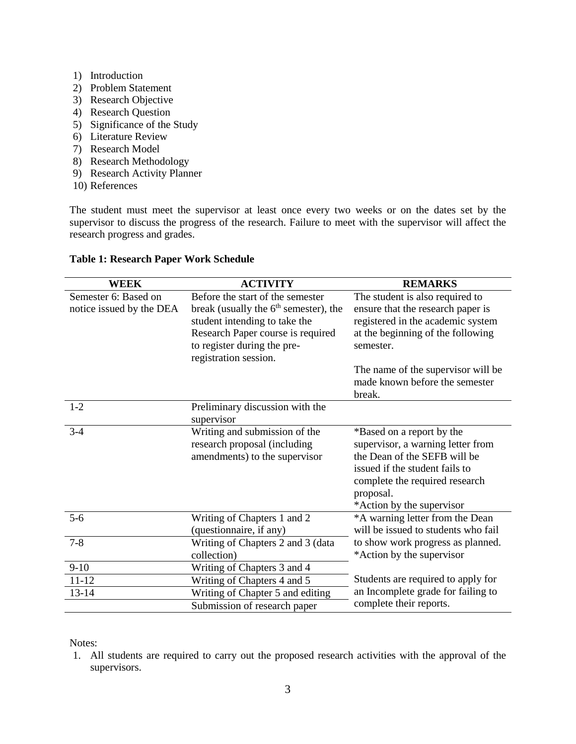- 1) Introduction
- 2) Problem Statement
- 3) Research Objective
- 4) Research Question
- 5) Significance of the Study
- 6) Literature Review
- 7) Research Model
- 8) Research Methodology
- 9) Research Activity Planner
- 10) References

The student must meet the supervisor at least once every two weeks or on the dates set by the supervisor to discuss the progress of the research. Failure to meet with the supervisor will affect the research progress and grades.

| WEEK                                             | <b>ACTIVITY</b>                                                                                                                                                                                           | <b>REMARKS</b>                                                                                                                                                                                               |
|--------------------------------------------------|-----------------------------------------------------------------------------------------------------------------------------------------------------------------------------------------------------------|--------------------------------------------------------------------------------------------------------------------------------------------------------------------------------------------------------------|
| Semester 6: Based on<br>notice issued by the DEA | Before the start of the semester<br>break (usually the $6th$ semester), the<br>student intending to take the<br>Research Paper course is required<br>to register during the pre-<br>registration session. | The student is also required to<br>ensure that the research paper is<br>registered in the academic system<br>at the beginning of the following<br>semester.                                                  |
|                                                  |                                                                                                                                                                                                           | The name of the supervisor will be<br>made known before the semester<br>break.                                                                                                                               |
| $1 - 2$                                          | Preliminary discussion with the<br>supervisor                                                                                                                                                             |                                                                                                                                                                                                              |
| $3-4$                                            | Writing and submission of the<br>research proposal (including<br>amendments) to the supervisor                                                                                                            | *Based on a report by the<br>supervisor, a warning letter from<br>the Dean of the SEFB will be<br>issued if the student fails to<br>complete the required research<br>proposal.<br>*Action by the supervisor |
| $5-6$                                            | Writing of Chapters 1 and 2<br>(questionnaire, if any)                                                                                                                                                    | *A warning letter from the Dean<br>will be issued to students who fail                                                                                                                                       |
| $7 - 8$                                          | Writing of Chapters 2 and 3 (data<br>collection)                                                                                                                                                          | to show work progress as planned.<br>*Action by the supervisor                                                                                                                                               |
| $9-10$                                           | Writing of Chapters 3 and 4                                                                                                                                                                               |                                                                                                                                                                                                              |
| $11 - 12$                                        | Writing of Chapters 4 and 5                                                                                                                                                                               | Students are required to apply for                                                                                                                                                                           |
| 13-14                                            | Writing of Chapter 5 and editing                                                                                                                                                                          | an Incomplete grade for failing to                                                                                                                                                                           |
|                                                  | Submission of research paper                                                                                                                                                                              | complete their reports.                                                                                                                                                                                      |

# **Table 1: Research Paper Work Schedule**

Notes:

1. All students are required to carry out the proposed research activities with the approval of the supervisors.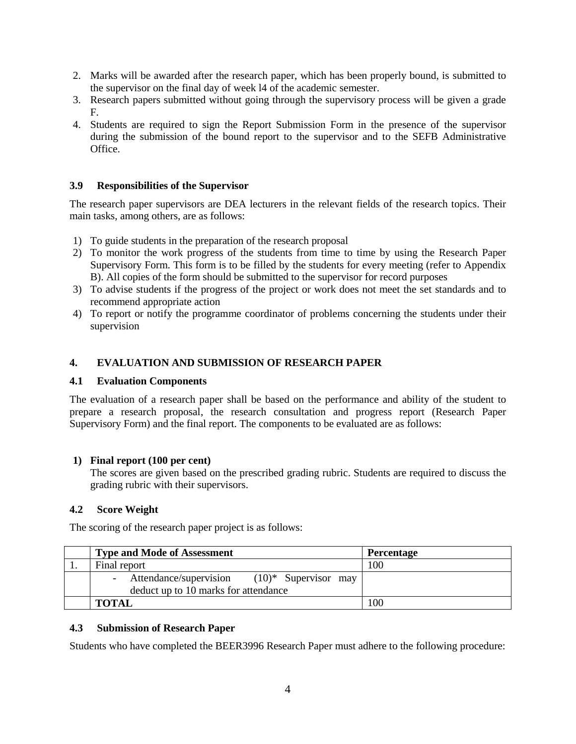- 2. Marks will be awarded after the research paper, which has been properly bound, is submitted to the supervisor on the final day of week l4 of the academic semester.
- 3. Research papers submitted without going through the supervisory process will be given a grade F.
- 4. Students are required to sign the Report Submission Form in the presence of the supervisor during the submission of the bound report to the supervisor and to the SEFB Administrative Office.

#### **3.9 Responsibilities of the Supervisor**

The research paper supervisors are DEA lecturers in the relevant fields of the research topics. Their main tasks, among others, are as follows:

- 1) To guide students in the preparation of the research proposal
- 2) To monitor the work progress of the students from time to time by using the Research Paper Supervisory Form. This form is to be filled by the students for every meeting (refer to Appendix B). All copies of the form should be submitted to the supervisor for record purposes
- 3) To advise students if the progress of the project or work does not meet the set standards and to recommend appropriate action
- 4) To report or notify the programme coordinator of problems concerning the students under their supervision

#### **4. EVALUATION AND SUBMISSION OF RESEARCH PAPER**

#### **4.1 Evaluation Components**

The evaluation of a research paper shall be based on the performance and ability of the student to prepare a research proposal, the research consultation and progress report (Research Paper Supervisory Form) and the final report. The components to be evaluated are as follows:

#### **1) Final report (100 per cent)**

The scores are given based on the prescribed grading rubric. Students are required to discuss the grading rubric with their supervisors.

#### **4.2 Score Weight**

The scoring of the research paper project is as follows:

|              | <b>Type and Mode of Assessment</b>                                                        | <b>Percentage</b> |
|--------------|-------------------------------------------------------------------------------------------|-------------------|
| Final report |                                                                                           | 100               |
|              | Attendance/supervision<br>$(10)^*$ Supervisor may<br>deduct up to 10 marks for attendance |                   |
| <b>TOTAL</b> |                                                                                           | 100               |

#### **4.3 Submission of Research Paper**

Students who have completed the BEER3996 Research Paper must adhere to the following procedure: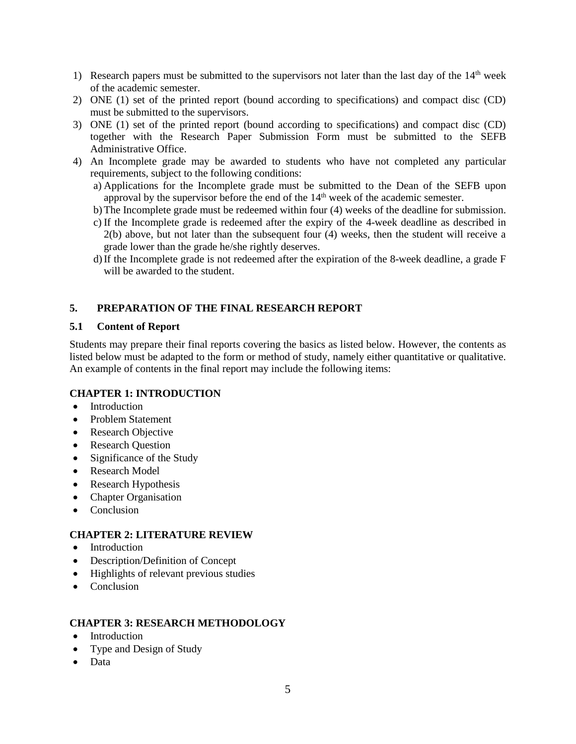- 1) Research papers must be submitted to the supervisors not later than the last day of the  $14<sup>th</sup>$  week of the academic semester.
- 2) ONE (1) set of the printed report (bound according to specifications) and compact disc (CD) must be submitted to the supervisors.
- 3) ONE (1) set of the printed report (bound according to specifications) and compact disc (CD) together with the Research Paper Submission Form must be submitted to the SEFB Administrative Office.
- 4) An Incomplete grade may be awarded to students who have not completed any particular requirements, subject to the following conditions:
	- a) Applications for the Incomplete grade must be submitted to the Dean of the SEFB upon approval by the supervisor before the end of the  $14<sup>th</sup>$  week of the academic semester.
	- b)The Incomplete grade must be redeemed within four (4) weeks of the deadline for submission.
	- c) If the Incomplete grade is redeemed after the expiry of the 4-week deadline as described in 2(b) above, but not later than the subsequent four (4) weeks, then the student will receive a grade lower than the grade he/she rightly deserves.
	- d)If the Incomplete grade is not redeemed after the expiration of the 8-week deadline, a grade F will be awarded to the student.

#### **5. PREPARATION OF THE FINAL RESEARCH REPORT**

#### **5.1 Content of Report**

Students may prepare their final reports covering the basics as listed below. However, the contents as listed below must be adapted to the form or method of study, namely either quantitative or qualitative. An example of contents in the final report may include the following items:

#### **CHAPTER 1: INTRODUCTION**

- Introduction
- Problem Statement
- Research Objective
- Research Question
- Significance of the Study
- Research Model
- Research Hypothesis
- Chapter Organisation
- Conclusion

#### **CHAPTER 2: LITERATURE REVIEW**

- Introduction
- Description/Definition of Concept
- Highlights of relevant previous studies
- Conclusion

# **CHAPTER 3: RESEARCH METHODOLOGY**

- Introduction
- Type and Design of Study
- Data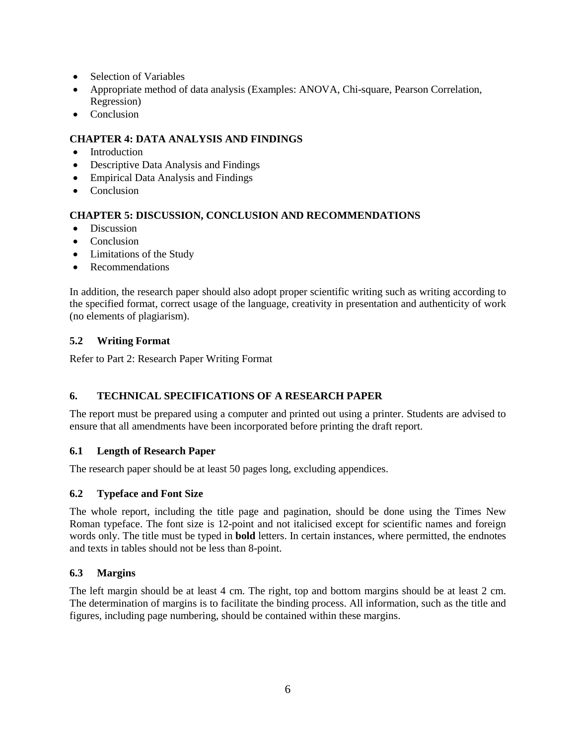- Selection of Variables
- Appropriate method of data analysis (Examples: ANOVA, Chi-square, Pearson Correlation, Regression)
- Conclusion

# **CHAPTER 4: DATA ANALYSIS AND FINDINGS**

- Introduction
- Descriptive Data Analysis and Findings
- Empirical Data Analysis and Findings
- Conclusion

# **CHAPTER 5: DISCUSSION, CONCLUSION AND RECOMMENDATIONS**

- Discussion
- Conclusion
- Limitations of the Study
- Recommendations

In addition, the research paper should also adopt proper scientific writing such as writing according to the specified format, correct usage of the language, creativity in presentation and authenticity of work (no elements of plagiarism).

# **5.2 Writing Format**

Refer to Part 2: Research Paper Writing Format

# **6. TECHNICAL SPECIFICATIONS OF A RESEARCH PAPER**

The report must be prepared using a computer and printed out using a printer. Students are advised to ensure that all amendments have been incorporated before printing the draft report.

# **6.1 Length of Research Paper**

The research paper should be at least 50 pages long, excluding appendices.

# **6.2 Typeface and Font Size**

The whole report, including the title page and pagination, should be done using the Times New Roman typeface. The font size is 12-point and not italicised except for scientific names and foreign words only. The title must be typed in **bold** letters. In certain instances, where permitted, the endnotes and texts in tables should not be less than 8-point.

# **6.3 Margins**

The left margin should be at least 4 cm. The right, top and bottom margins should be at least 2 cm. The determination of margins is to facilitate the binding process. All information, such as the title and figures, including page numbering, should be contained within these margins.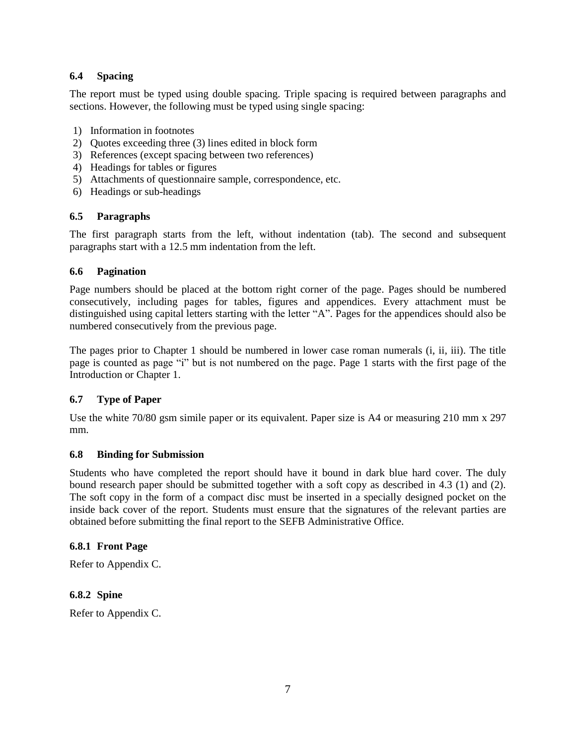# **6.4 Spacing**

The report must be typed using double spacing. Triple spacing is required between paragraphs and sections. However, the following must be typed using single spacing:

- 1) Information in footnotes
- 2) Quotes exceeding three (3) lines edited in block form
- 3) References (except spacing between two references)
- 4) Headings for tables or figures
- 5) Attachments of questionnaire sample, correspondence, etc.
- 6) Headings or sub-headings

# **6.5 Paragraphs**

The first paragraph starts from the left, without indentation (tab). The second and subsequent paragraphs start with a 12.5 mm indentation from the left.

# **6.6 Pagination**

Page numbers should be placed at the bottom right corner of the page. Pages should be numbered consecutively, including pages for tables, figures and appendices. Every attachment must be distinguished using capital letters starting with the letter "A". Pages for the appendices should also be numbered consecutively from the previous page.

The pages prior to Chapter 1 should be numbered in lower case roman numerals (i, ii, iii). The title page is counted as page "i" but is not numbered on the page. Page 1 starts with the first page of the Introduction or Chapter 1.

# **6.7 Type of Paper**

Use the white 70/80 gsm simile paper or its equivalent. Paper size is A4 or measuring 210 mm x 297 mm.

# **6.8 Binding for Submission**

Students who have completed the report should have it bound in dark blue hard cover. The duly bound research paper should be submitted together with a soft copy as described in 4.3 (1) and (2). The soft copy in the form of a compact disc must be inserted in a specially designed pocket on the inside back cover of the report. Students must ensure that the signatures of the relevant parties are obtained before submitting the final report to the SEFB Administrative Office.

# **6.8.1 Front Page**

Refer to Appendix C.

# **6.8.2 Spine**

Refer to Appendix C.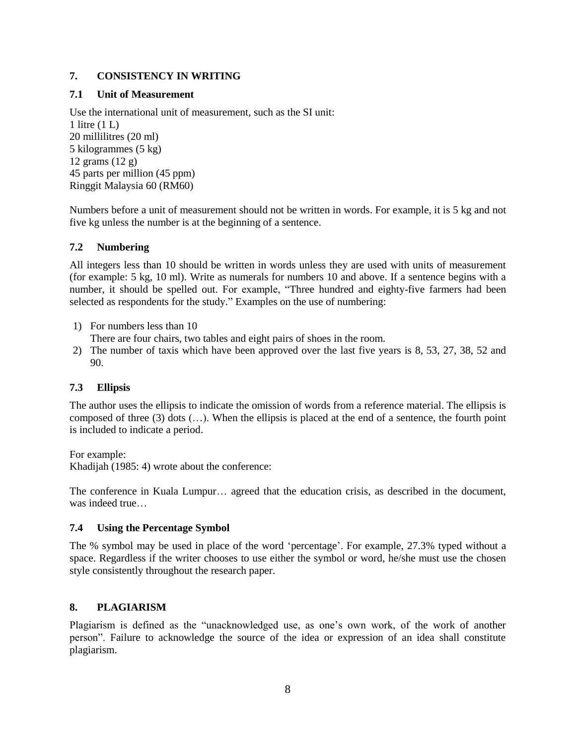# **7. CONSISTENCY IN WRITING**

# **7.1 Unit of Measurement**

Use the international unit of measurement, such as the SI unit: 1 litre (1 L) 20 millilitres (20 ml) 5 kilogrammes (5 kg) 12 grams (12 g) 45 parts per million (45 ppm) Ringgit Malaysia 60 (RM60)

Numbers before a unit of measurement should not be written in words. For example, it is 5 kg and not five kg unless the number is at the beginning of a sentence.

# **7.2 Numbering**

All integers less than 10 should be written in words unless they are used with units of measurement (for example: 5 kg, 10 ml). Write as numerals for numbers 10 and above. If a sentence begins with a number, it should be spelled out. For example, "Three hundred and eighty-five farmers had been selected as respondents for the study." Examples on the use of numbering:

- 1) For numbers less than 10
- There are four chairs, two tables and eight pairs of shoes in the room.
- 2) The number of taxis which have been approved over the last five years is 8, 53, 27, 38, 52 and 90.

# **7.3 Ellipsis**

The author uses the ellipsis to indicate the omission of words from a reference material. The ellipsis is composed of three (3) dots (…). When the ellipsis is placed at the end of a sentence, the fourth point is included to indicate a period.

For example: Khadijah (1985: 4) wrote about the conference:

The conference in Kuala Lumpur… agreed that the education crisis, as described in the document, was indeed true…

# **7.4 Using the Percentage Symbol**

The % symbol may be used in place of the word 'percentage'. For example, 27.3% typed without a space. Regardless if the writer chooses to use either the symbol or word, he/she must use the chosen style consistently throughout the research paper.

# **8. PLAGIARISM**

Plagiarism is defined as the "unacknowledged use, as one's own work, of the work of another person". Failure to acknowledge the source of the idea or expression of an idea shall constitute plagiarism.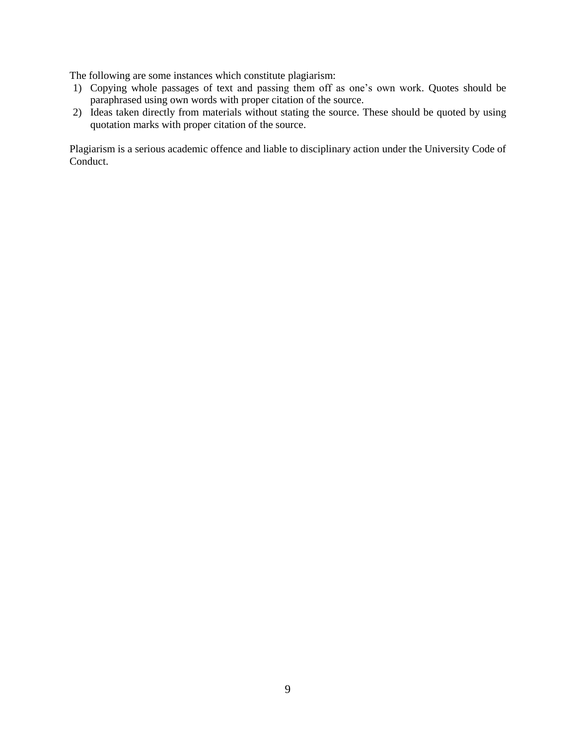The following are some instances which constitute plagiarism:

- 1) Copying whole passages of text and passing them off as one's own work. Quotes should be paraphrased using own words with proper citation of the source.
- 2) Ideas taken directly from materials without stating the source. These should be quoted by using quotation marks with proper citation of the source.

Plagiarism is a serious academic offence and liable to disciplinary action under the University Code of Conduct.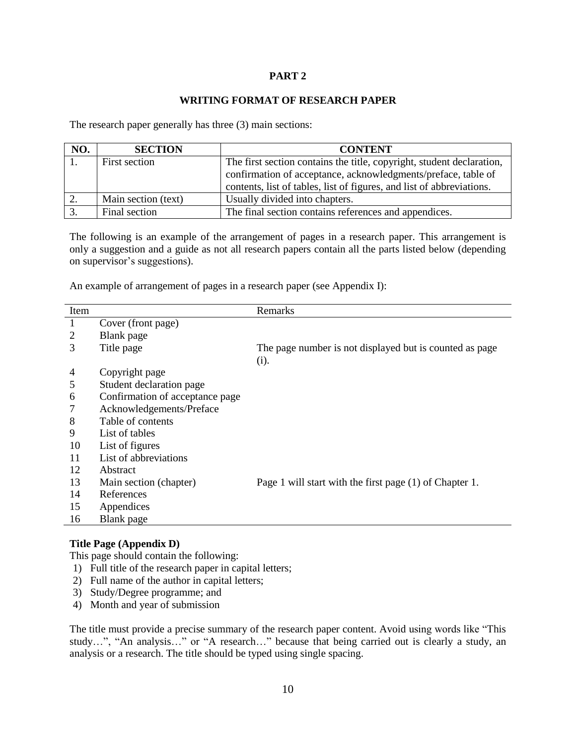#### **PART 2**

#### **WRITING FORMAT OF RESEARCH PAPER**

The research paper generally has three (3) main sections:

| NO. | <b>SECTION</b>      | <b>CONTENT</b>                                                        |
|-----|---------------------|-----------------------------------------------------------------------|
|     | First section       | The first section contains the title, copyright, student declaration, |
|     |                     | confirmation of acceptance, acknowledgments/preface, table of         |
|     |                     | contents, list of tables, list of figures, and list of abbreviations. |
| 2.  | Main section (text) | Usually divided into chapters.                                        |
| 3.  | Final section       | The final section contains references and appendices.                 |

The following is an example of the arrangement of pages in a research paper. This arrangement is only a suggestion and a guide as not all research papers contain all the parts listed below (depending on supervisor's suggestions).

An example of arrangement of pages in a research paper (see Appendix I):

| Item |                                 | Remarks                                                 |
|------|---------------------------------|---------------------------------------------------------|
| 1    | Cover (front page)              |                                                         |
| 2    | Blank page                      |                                                         |
| 3    | Title page                      | The page number is not displayed but is counted as page |
|      |                                 | (i).                                                    |
| 4    | Copyright page                  |                                                         |
| 5    | Student declaration page        |                                                         |
| 6    | Confirmation of acceptance page |                                                         |
| 7    | Acknowledgements/Preface        |                                                         |
| 8    | Table of contents               |                                                         |
| 9    | List of tables                  |                                                         |
| 10   | List of figures                 |                                                         |
| 11   | List of abbreviations           |                                                         |
| 12   | Abstract                        |                                                         |
| 13   | Main section (chapter)          | Page 1 will start with the first page (1) of Chapter 1. |
| 14   | References                      |                                                         |
| 15   | Appendices                      |                                                         |
| 16   | Blank page                      |                                                         |

#### **Title Page (Appendix D)**

This page should contain the following:

- 1) Full title of the research paper in capital letters;
- 2) Full name of the author in capital letters;
- 3) Study/Degree programme; and
- 4) Month and year of submission

The title must provide a precise summary of the research paper content. Avoid using words like "This study…", "An analysis…" or "A research…" because that being carried out is clearly a study, an analysis or a research. The title should be typed using single spacing.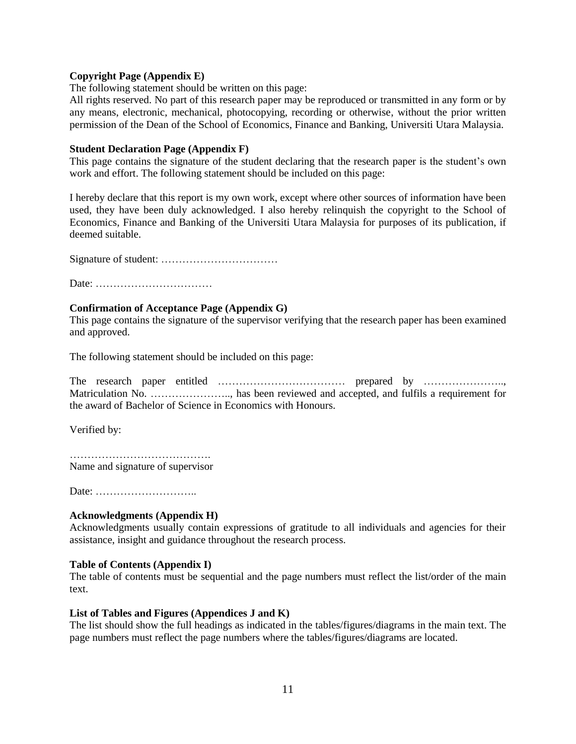#### **Copyright Page (Appendix E)**

The following statement should be written on this page:

All rights reserved. No part of this research paper may be reproduced or transmitted in any form or by any means, electronic, mechanical, photocopying, recording or otherwise, without the prior written permission of the Dean of the School of Economics, Finance and Banking, Universiti Utara Malaysia.

#### **Student Declaration Page (Appendix F)**

This page contains the signature of the student declaring that the research paper is the student's own work and effort. The following statement should be included on this page:

I hereby declare that this report is my own work, except where other sources of information have been used, they have been duly acknowledged. I also hereby relinquish the copyright to the School of Economics, Finance and Banking of the Universiti Utara Malaysia for purposes of its publication, if deemed suitable.

Signature of student: ……………………………

Date: ……………………………

#### **Confirmation of Acceptance Page (Appendix G)**

This page contains the signature of the supervisor verifying that the research paper has been examined and approved.

The following statement should be included on this page:

The research paper entitled ……………………………… prepared by ………………….., Matriculation No. ………………….., has been reviewed and accepted, and fulfils a requirement for the award of Bachelor of Science in Economics with Honours.

Verified by:

…………………………………. Name and signature of supervisor

Date: ………………………..

#### **Acknowledgments (Appendix H)**

Acknowledgments usually contain expressions of gratitude to all individuals and agencies for their assistance, insight and guidance throughout the research process.

#### **Table of Contents (Appendix I)**

The table of contents must be sequential and the page numbers must reflect the list/order of the main text.

#### **List of Tables and Figures (Appendices J and K)**

The list should show the full headings as indicated in the tables/figures/diagrams in the main text. The page numbers must reflect the page numbers where the tables/figures/diagrams are located.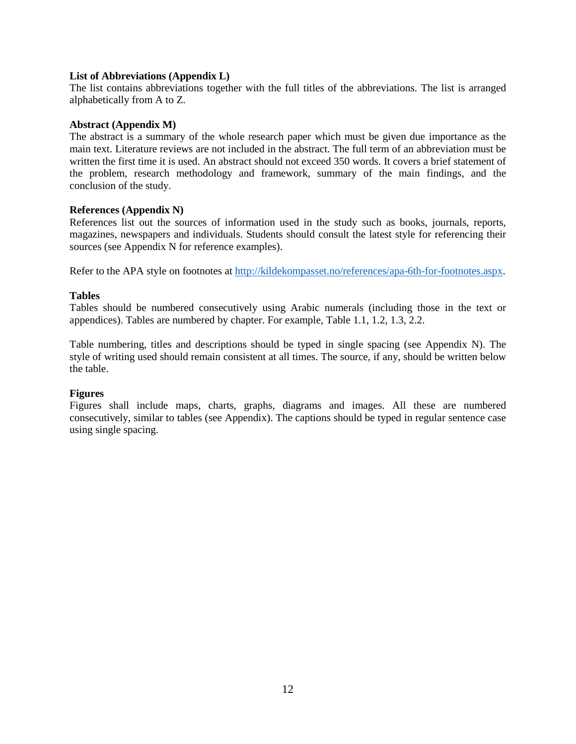#### **List of Abbreviations (Appendix L)**

The list contains abbreviations together with the full titles of the abbreviations. The list is arranged alphabetically from A to Z.

#### **Abstract (Appendix M)**

The abstract is a summary of the whole research paper which must be given due importance as the main text. Literature reviews are not included in the abstract. The full term of an abbreviation must be written the first time it is used. An abstract should not exceed 350 words. It covers a brief statement of the problem, research methodology and framework, summary of the main findings, and the conclusion of the study.

#### **References (Appendix N)**

References list out the sources of information used in the study such as books, journals, reports, magazines, newspapers and individuals. Students should consult the latest style for referencing their sources (see Appendix N for reference examples).

Refer to the APA style on footnotes at [http://kildekompasset.no/references/apa-6th-for-footnotes.aspx.](http://kildekompasset.no/references/apa-6th-for-footnotes.aspx)

#### **Tables**

Tables should be numbered consecutively using Arabic numerals (including those in the text or appendices). Tables are numbered by chapter. For example, Table 1.1, 1.2, 1.3, 2.2.

Table numbering, titles and descriptions should be typed in single spacing (see Appendix N). The style of writing used should remain consistent at all times. The source, if any, should be written below the table.

#### **Figures**

Figures shall include maps, charts, graphs, diagrams and images. All these are numbered consecutively, similar to tables (see Appendix). The captions should be typed in regular sentence case using single spacing.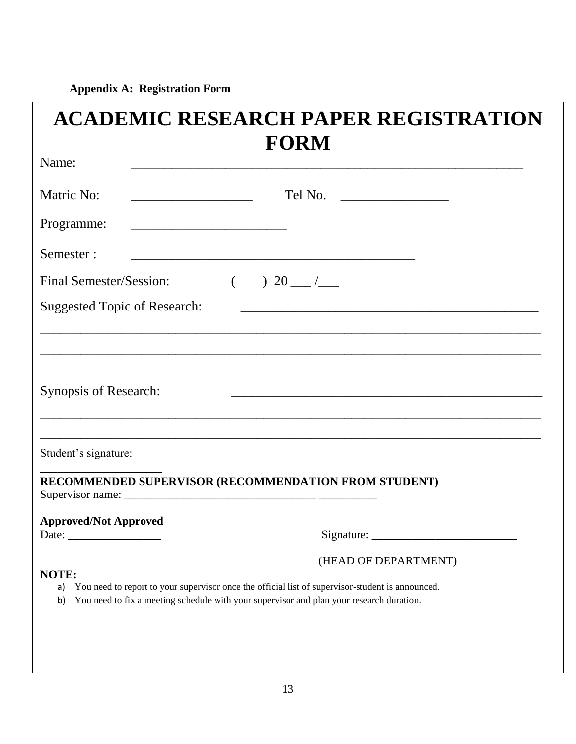**Appendix A: Registration Form**

| <b>FORM</b><br>Name:<br>Matric No:<br>Tel No. $\qquad \qquad$<br><u> 1989 - Johann John Stone, market fan it ferstjer fan it ferstjer fan it ferstjer fan it ferstjer fan it fers</u>                                                     |
|-------------------------------------------------------------------------------------------------------------------------------------------------------------------------------------------------------------------------------------------|
|                                                                                                                                                                                                                                           |
|                                                                                                                                                                                                                                           |
| Programme:<br><u> 1989 - Johann John Stone, mars et al. (</u>                                                                                                                                                                             |
| Semester:                                                                                                                                                                                                                                 |
| Final Semester/Session:<br>$\left($<br>$20 - 7$                                                                                                                                                                                           |
| <b>Suggested Topic of Research:</b><br><u> 1989 - Johann John Stein, markin fan it ferstjer fan de ferstjer fan it ferstjer fan it ferstjer fan it fers</u>                                                                               |
| Synopsis of Research:<br>Student's signature:<br>RECOMMENDED SUPERVISOR (RECOMMENDATION FROM STUDENT)                                                                                                                                     |
| <b>Approved/Not Approved</b>                                                                                                                                                                                                              |
| (HEAD OF DEPARTMENT)<br>NOTE:<br>You need to report to your supervisor once the official list of supervisor-student is announced.<br>a)<br>You need to fix a meeting schedule with your supervisor and plan your research duration.<br>b) |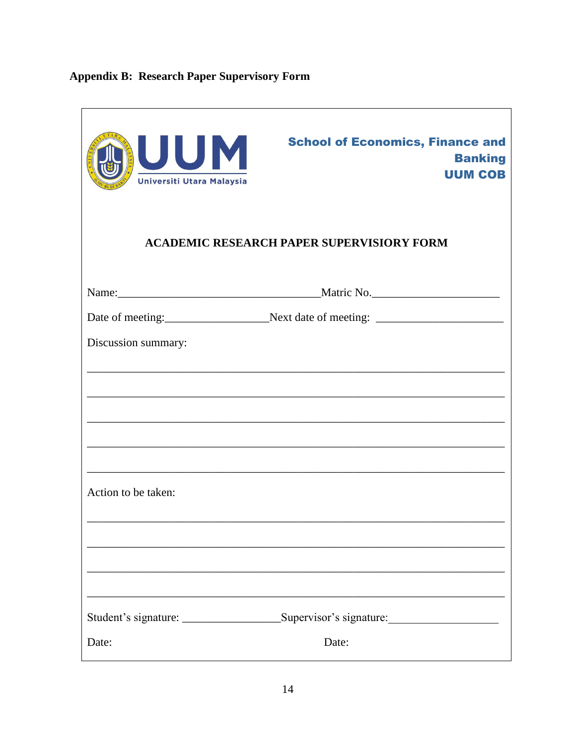# **Appendix B: Research Paper Supervisory Form**

| UUM<br>Universiti Utara Malaysia | <b>School of Economics, Finance and</b><br><b>Banking</b><br><b>UUM COB</b> |
|----------------------------------|-----------------------------------------------------------------------------|
|                                  | <b>ACADEMIC RESEARCH PAPER SUPERVISIORY FORM</b>                            |
|                                  |                                                                             |
|                                  |                                                                             |
| Discussion summary:              |                                                                             |
|                                  |                                                                             |
| Action to be taken:              |                                                                             |
|                                  |                                                                             |
|                                  | Supervisor's signature:                                                     |
| Date:                            | Date:                                                                       |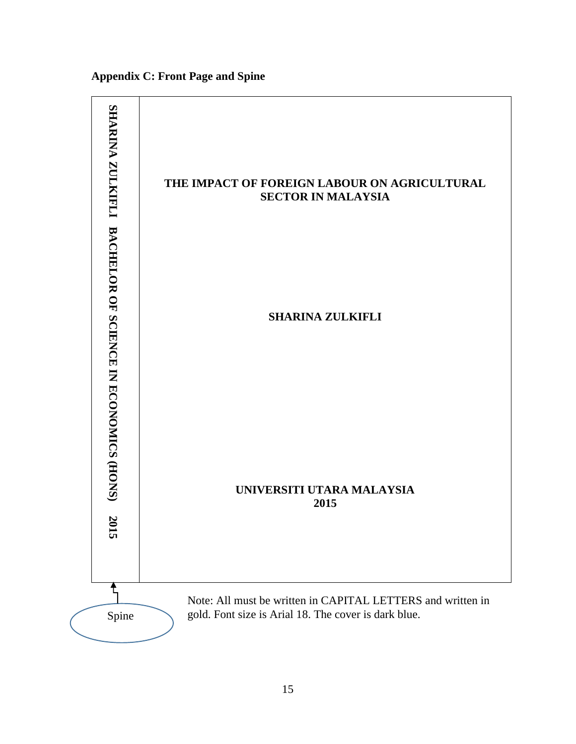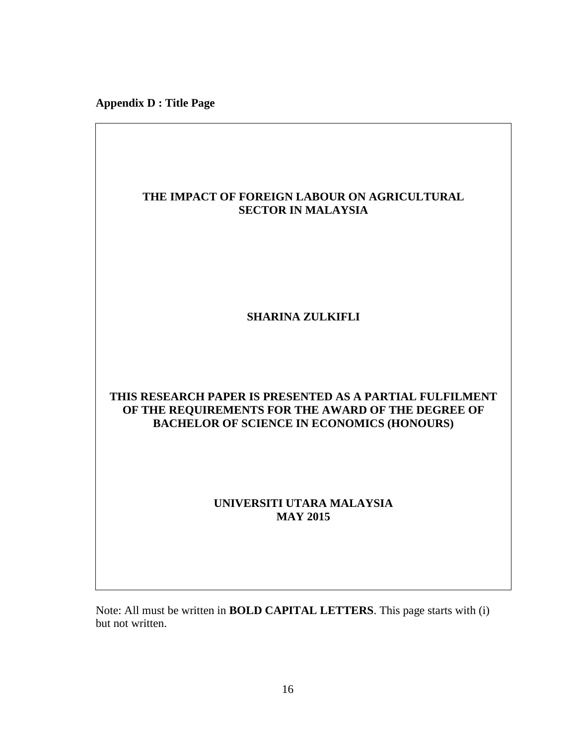**Appendix D : Title Page**

# **THE IMPACT OF FOREIGN LABOUR ON AGRICULTURAL SECTOR IN MALAYSIA SHARINA ZULKIFLI THIS RESEARCH PAPER IS PRESENTED AS A PARTIAL FULFILMENT OF THE REQUIREMENTS FOR THE AWARD OF THE DEGREE OF BACHELOR OF SCIENCE IN ECONOMICS (HONOURS) UNIVERSITI UTARA MALAYSIA MAY 2015**

Note: All must be written in **BOLD CAPITAL LETTERS**. This page starts with (i) but not written.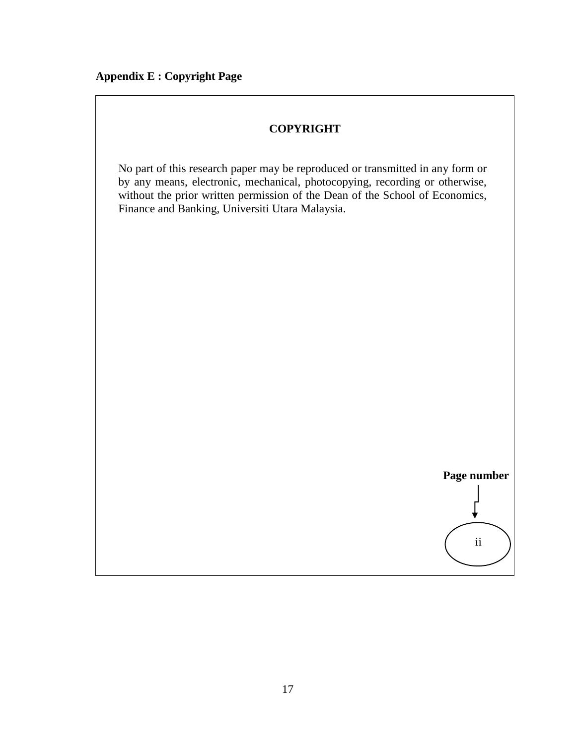# **COPYRIGHT**

No part of this research paper may be reproduced or transmitted in any form or by any means, electronic, mechanical, photocopying, recording or otherwise, without the prior written permission of the Dean of the School of Economics, Finance and Banking, Universiti Utara Malaysia.

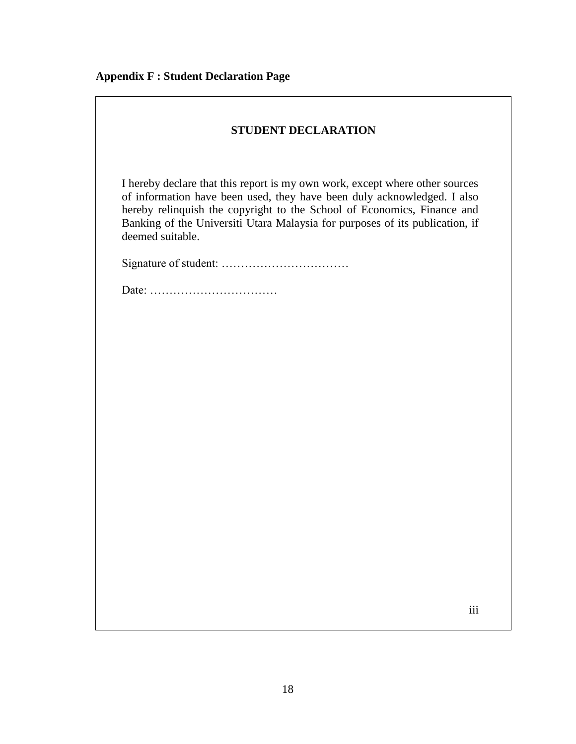| <b>STUDENT DECLARATION</b> |  |
|----------------------------|--|
|----------------------------|--|

I hereby declare that this report is my own work, except where other sources of information have been used, they have been duly acknowledged. I also hereby relinquish the copyright to the School of Economics, Finance and Banking of the Universiti Utara Malaysia for purposes of its publication, if deemed suitable.

Signature of student: ……………………………

Date: ……………………………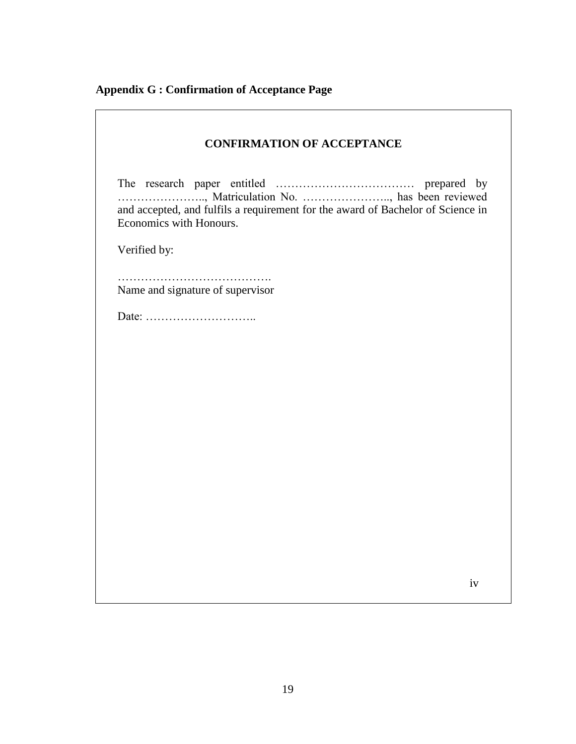**Appendix G : Confirmation of Acceptance Page** 

| <b>CONFIRMATION OF ACCEPTANCE</b>                                                                                                                     |  |  |
|-------------------------------------------------------------------------------------------------------------------------------------------------------|--|--|
| , Matriculation No. , has been reviewed<br>and accepted, and fulfils a requirement for the award of Bachelor of Science in<br>Economics with Honours. |  |  |
| Verified by:                                                                                                                                          |  |  |
| Name and signature of supervisor                                                                                                                      |  |  |
|                                                                                                                                                       |  |  |
|                                                                                                                                                       |  |  |
|                                                                                                                                                       |  |  |
|                                                                                                                                                       |  |  |
|                                                                                                                                                       |  |  |
|                                                                                                                                                       |  |  |
|                                                                                                                                                       |  |  |
|                                                                                                                                                       |  |  |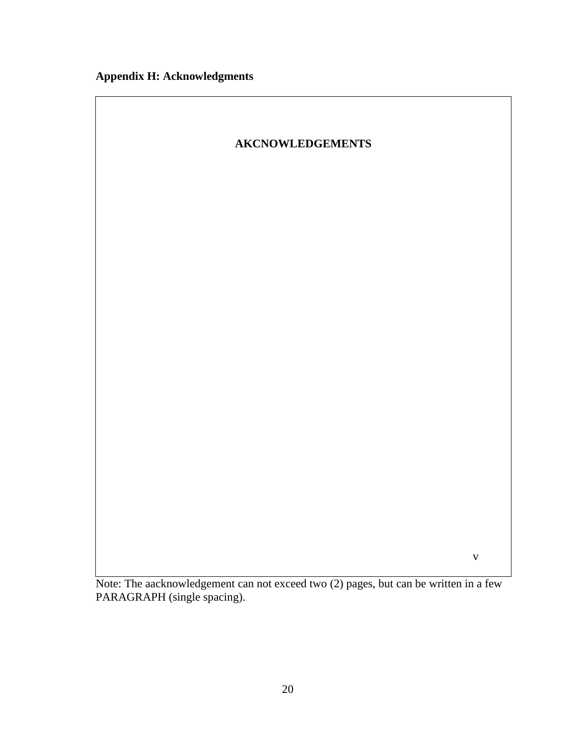

Note: The aacknowledgement can not exceed two (2) pages, but can be written in a few PARAGRAPH (single spacing).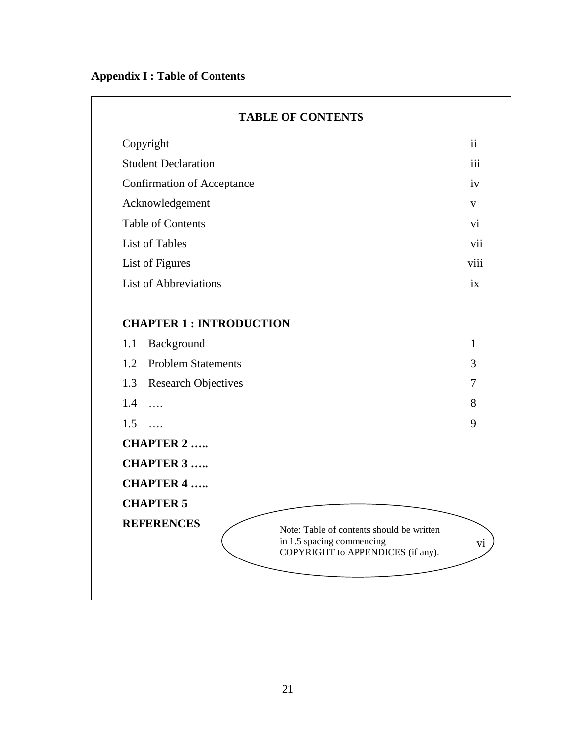| Copyright                                                                                                                        | ii           |
|----------------------------------------------------------------------------------------------------------------------------------|--------------|
| <b>Student Declaration</b>                                                                                                       | iii          |
| <b>Confirmation of Acceptance</b>                                                                                                | iv           |
| Acknowledgement                                                                                                                  | $\mathbf{V}$ |
| <b>Table of Contents</b>                                                                                                         | vi           |
| List of Tables                                                                                                                   | vii          |
| List of Figures                                                                                                                  | viii         |
| <b>List of Abbreviations</b>                                                                                                     | ix           |
| <b>CHAPTER 1 : INTRODUCTION</b>                                                                                                  |              |
| Background<br>1.1                                                                                                                | $\mathbf{1}$ |
| 1.2<br><b>Problem Statements</b>                                                                                                 | 3            |
| 1.3<br><b>Research Objectives</b>                                                                                                | 7            |
| 1.4<br>$\ldots$                                                                                                                  | 8            |
| 1.5<br>$\ldots$                                                                                                                  | 9            |
| <b>CHAPTER 2 </b>                                                                                                                |              |
| <b>CHAPTER 3 </b>                                                                                                                |              |
| <b>CHAPTER 4 </b>                                                                                                                |              |
| <b>CHAPTER 5</b>                                                                                                                 |              |
| <b>REFERENCES</b><br>Note: Table of contents should be written<br>in 1.5 spacing commencing<br>COPYRIGHT to APPENDICES (if any). | vi           |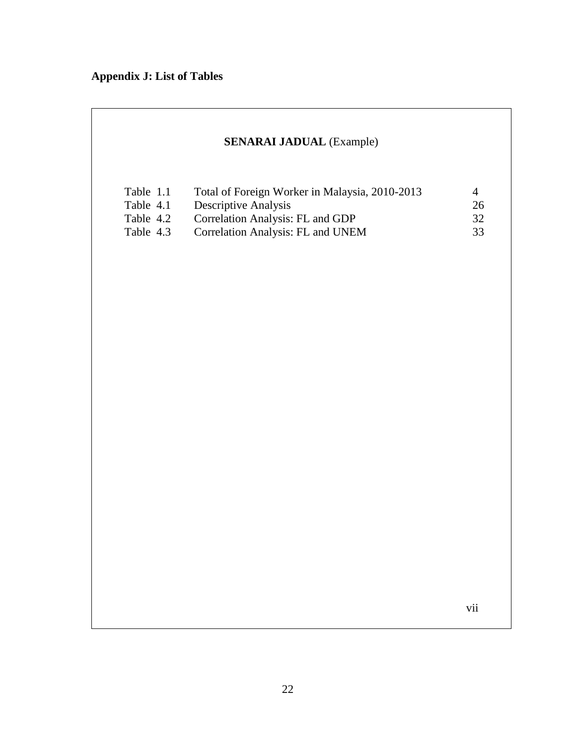# **Appendix J: List of Tables**

# **SENARAI JADUAL** (Example)

| 4    |
|------|
| 26   |
| 32   |
| -33- |
|      |

vii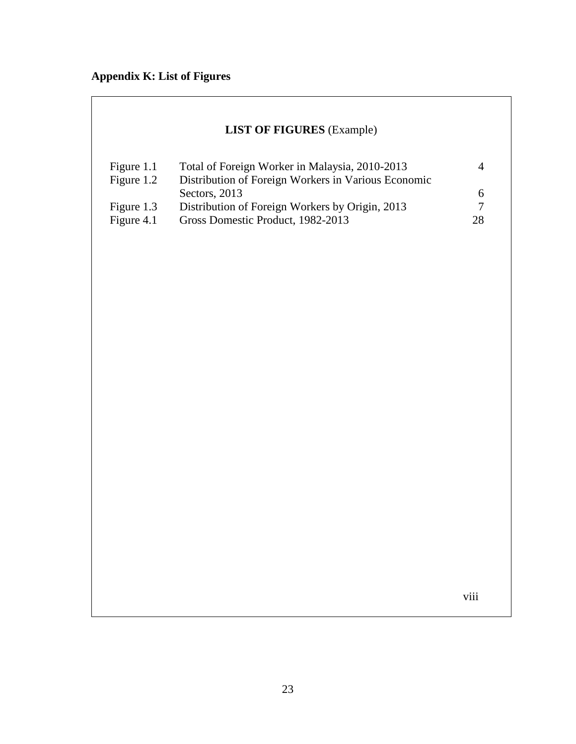# **Appendix K: List of Figures**

| <b>LIST OF FIGURES</b> (Example) |  |
|----------------------------------|--|
|----------------------------------|--|

| Figure 1.1 | Total of Foreign Worker in Malaysia, 2010-2013      |    |
|------------|-----------------------------------------------------|----|
| Figure 1.2 | Distribution of Foreign Workers in Various Economic |    |
|            | Sectors, 2013                                       | 6. |
| Figure 1.3 | Distribution of Foreign Workers by Origin, 2013     |    |
| Figure 4.1 | Gross Domestic Product, 1982-2013                   | 28 |

viii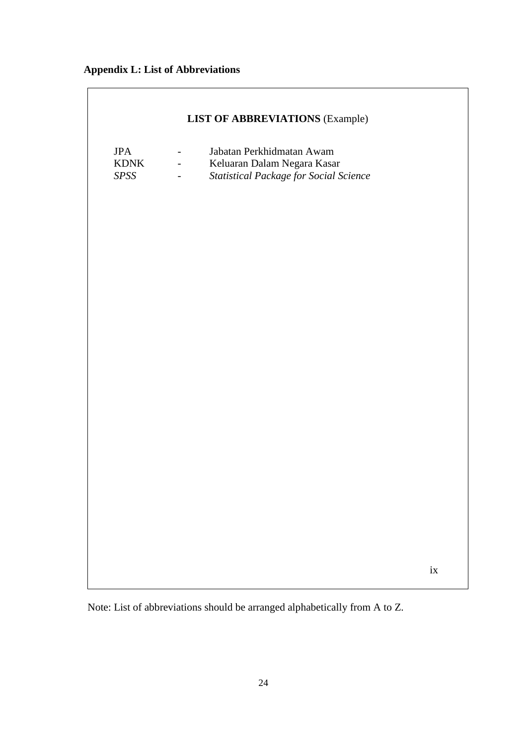# **Appendix L: List of Abbreviations**

| <b>LIST OF ABBREVIATIONS (Example)</b> |                                                                              |                                                                                                    |      |  |  |  |  |  |
|----------------------------------------|------------------------------------------------------------------------------|----------------------------------------------------------------------------------------------------|------|--|--|--|--|--|
| <b>JPA</b><br><b>KDNK</b><br>SPSS      | $\overline{\phantom{a}}$<br>$\frac{1}{2}$<br>$\frac{1}{2}$ and $\frac{1}{2}$ | Jabatan Perkhidmatan Awam<br>Keluaran Dalam Negara Kasar<br>Statistical Package for Social Science |      |  |  |  |  |  |
|                                        |                                                                              |                                                                                                    |      |  |  |  |  |  |
|                                        |                                                                              |                                                                                                    |      |  |  |  |  |  |
|                                        |                                                                              |                                                                                                    |      |  |  |  |  |  |
|                                        |                                                                              |                                                                                                    |      |  |  |  |  |  |
|                                        |                                                                              |                                                                                                    |      |  |  |  |  |  |
|                                        |                                                                              |                                                                                                    | $ix$ |  |  |  |  |  |
|                                        |                                                                              |                                                                                                    |      |  |  |  |  |  |

Note: List of abbreviations should be arranged alphabetically from A to Z.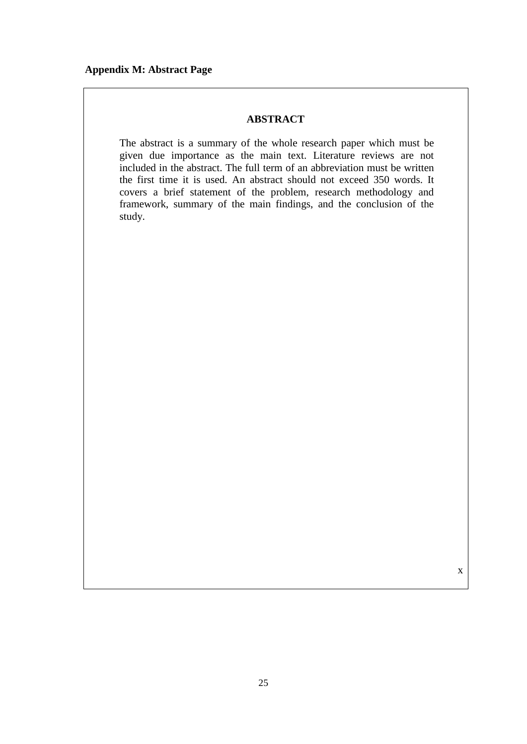# **ABSTRACT**

The abstract is a summary of the whole research paper which must be given due importance as the main text. Literature reviews are not included in the abstract. The full term of an abbreviation must be written the first time it is used. An abstract should not exceed 350 words. It covers a brief statement of the problem, research methodology and framework, summary of the main findings, and the conclusion of the study.

x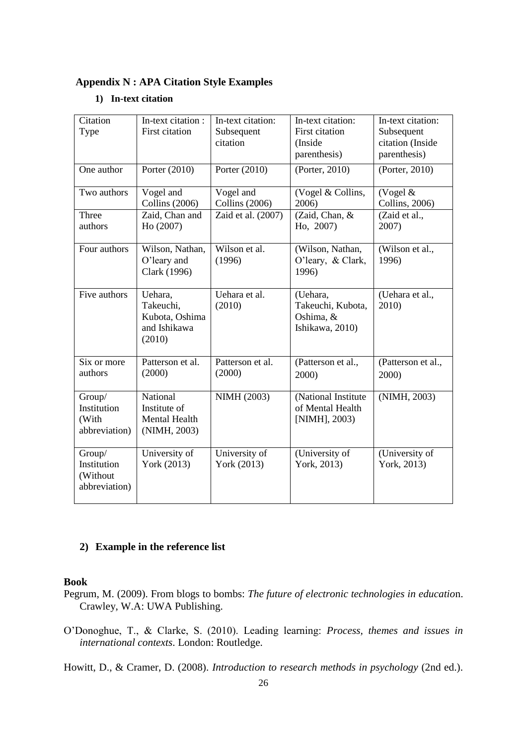# **Appendix N : APA Citation Style Examples**

#### **1) In-text citation**

| Citation<br>Type                                   | In-text citation :<br>First citation                                      | In-text citation:<br>Subsequent<br>citation | In-text citation:<br>First citation<br>(Inside<br>parenthesis) | In-text citation:<br>Subsequent<br>citation (Inside<br>parenthesis) |  |
|----------------------------------------------------|---------------------------------------------------------------------------|---------------------------------------------|----------------------------------------------------------------|---------------------------------------------------------------------|--|
| One author                                         | Porter (2010)                                                             | Porter $(2010)$                             |                                                                | (Porter, 2010)                                                      |  |
| Two authors                                        | Vogel and<br><b>Collins</b> (2006)                                        | Vogel and<br>Collins (2006)                 | (Vogel & Collins,<br>2006)                                     | (Vogel $&$<br>Collins, 2006)                                        |  |
| Three<br>authors                                   | Zaid, Chan and<br>Ho(2007)                                                | Zaid et al. (2007)                          | (Zaid, Chan, &<br>Ho, 2007)                                    | (Zaid et al.,<br>2007)                                              |  |
| Four authors                                       | Wilson, Nathan,<br>Wilson et al.<br>O'leary and<br>(1996)<br>Clark (1996) |                                             | (Wilson, Nathan,<br>O'leary, & Clark,<br>1996)                 | (Wilson et al.,<br>1996)                                            |  |
| Five authors                                       | Uehara,<br>Takeuchi,<br>Kubota, Oshima<br>and Ishikawa<br>(2010)          | Uehara et al.<br>(2010)                     | (Uehara,<br>Takeuchi, Kubota,<br>Oshima, &<br>Ishikawa, 2010)  | (Uehara et al.,<br>2010)                                            |  |
| Six or more<br>authors                             | Patterson et al.<br>(2000)                                                | Patterson et al.<br>(2000)                  | (Patterson et al.,<br>2000)                                    | (Patterson et al.,<br>2000)                                         |  |
| Group/<br>Institution<br>(With<br>abbreviation)    | National<br>Institute of<br>Mental Health<br>(NIMH, 2003)                 | NIMH (2003)                                 | (National Institute<br>of Mental Health<br>[NIMH], 2003)       | (NIMH, 2003)                                                        |  |
| Group/<br>Institution<br>(Without<br>abbreviation) | University of<br>York (2013)                                              | University of<br>York (2013)                | (University of<br>York, 2013)                                  | (University of<br>York, 2013)                                       |  |

# **2) Example in the reference list**

# **Book**

Pegrum, M. (2009). From blogs to bombs: *The future of electronic technologies in educatio*n. Crawley, W.A: UWA Publishing.

O'Donoghue, T., & Clarke, S. (2010). Leading learning: *Process, themes and issues in international contexts*. London: Routledge.

Howitt, D., & Cramer, D. (2008). *Introduction to research methods in psychology* (2nd ed.).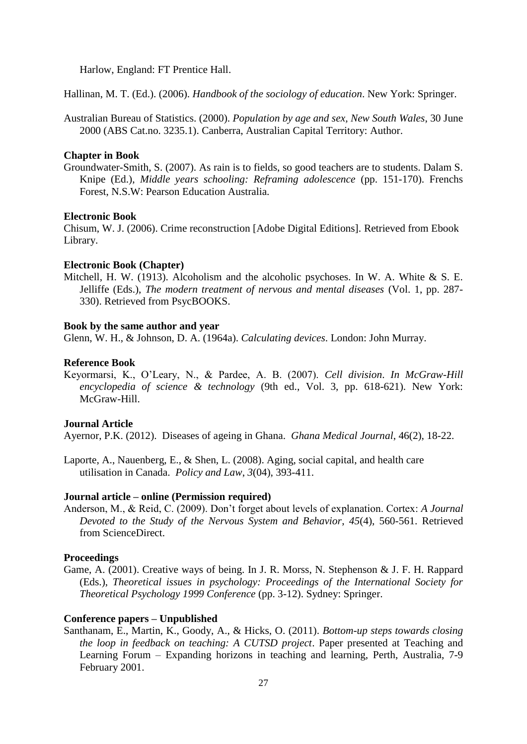Harlow, England: FT Prentice Hall.

Hallinan, M. T. (Ed.). (2006). *Handbook of the sociology of education*. New York: Springer.

Australian Bureau of Statistics. (2000). *Population by age and sex, New South Wales*, 30 June 2000 (ABS Cat.no. 3235.1). Canberra, Australian Capital Territory: Author.

#### **Chapter in Book**

Groundwater-Smith, S. (2007). As rain is to fields, so good teachers are to students. Dalam S. Knipe (Ed.), *Middle years schooling: Reframing adolescence* (pp. 151-170). Frenchs Forest, N.S.W: Pearson Education Australia.

#### **Electronic Book**

Chisum, W. J. (2006). Crime reconstruction [Adobe Digital Editions]. Retrieved from Ebook Library.

#### **Electronic Book (Chapter)**

Mitchell, H. W. (1913). Alcoholism and the alcoholic psychoses. In W. A. White & S. E. Jelliffe (Eds.), *The modern treatment of nervous and mental diseases* (Vol. 1, pp. 287- 330). Retrieved from PsycBOOKS.

#### **Book by the same author and year**

Glenn, W. H., & Johnson, D. A. (1964a). *Calculating devices*. London: John Murray.

#### **Reference Book**

Keyormarsi, K., O'Leary, N., & Pardee, A. B. (2007). *Cell division*. *In McGraw-Hill encyclopedia of science & technology* (9th ed., Vol. 3, pp. 618-621). New York: McGraw-Hill.

#### **Journal Article**

Ayernor, P.K. (2012). Diseases of ageing in Ghana. *Ghana Medical Journal*, 46(2), 18-22.

Laporte, A., Nauenberg, E., & Shen, L. (2008). Aging, social capital, and health care utilisation in Canada. *Policy and Law*, *3*(04), 393-411.

#### **Journal article – online (Permission required)**

Anderson, M., & Reid, C. (2009). Don't forget about levels of explanation. Cortex: *A Journal Devoted to the Study of the Nervous System and Behavior*, *45*(4), 560-561. Retrieved from ScienceDirect.

#### **Proceedings**

Game, A. (2001). Creative ways of being. In J. R. Morss, N. Stephenson & J. F. H. Rappard (Eds.), *Theoretical issues in psychology: Proceedings of the International Society for Theoretical Psychology 1999 Conference* (pp. 3-12). Sydney: Springer.

#### **Conference papers – Unpublished**

Santhanam, E., Martin, K., Goody, A., & Hicks, O. (2011). *Bottom-up steps towards closing the loop in feedback on teaching: A CUTSD project*. Paper presented at Teaching and Learning Forum – Expanding horizons in teaching and learning, Perth, Australia, 7-9 February 2001.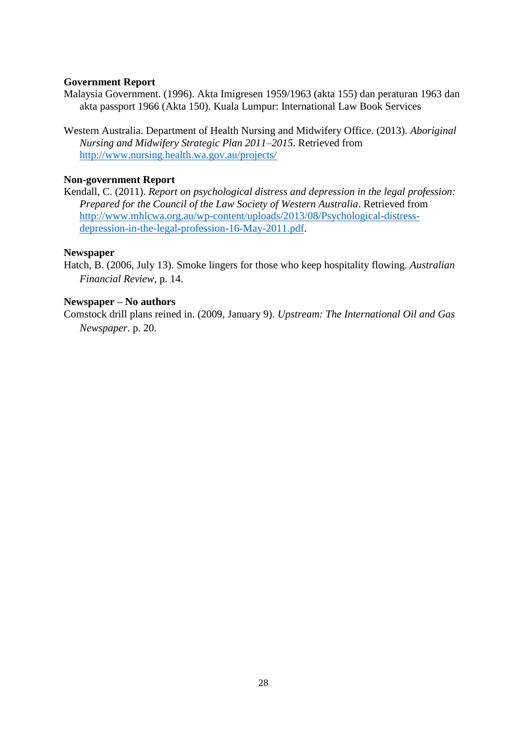# **Government Report**

Malaysia Government. (1996). Akta Imigresen 1959/1963 (akta 155) dan peraturan 1963 dan akta passport 1966 (Akta 150). Kuala Lumpur: International Law Book Services

Western Australia. Department of Health Nursing and Midwifery Office. (2013). *Aboriginal Nursing and Midwifery Strategic Plan 2011–2015*. Retrieved from <http://www.nursing.health.wa.gov.au/projects/>

# **Non-government Report**

Kendall, C. (2011). *Report on psychological distress and depression in the legal profession: Prepared for the Council of the Law Society of Western Australia*. Retrieved from [http://www.mhlcwa.org.au/wp-content/uploads/2013/08/Psychological-distress](http://www.mhlcwa.org.au/wp-content/uploads/2013/08/Psychological-distress-depression-in-the-legal-profession-16-May-2011.pdf)[depression-in-the-legal-profession-16-May-2011.pdf.](http://www.mhlcwa.org.au/wp-content/uploads/2013/08/Psychological-distress-depression-in-the-legal-profession-16-May-2011.pdf)

#### **Newspaper**

Hatch, B. (2006, July 13). Smoke lingers for those who keep hospitality flowing. *Australian Financial Review,* p. 14.

#### **Newspaper – No authors**

Comstock drill plans reined in. (2009, January 9). *Upstream: The International Oil and Gas Newspaper*. p. 20.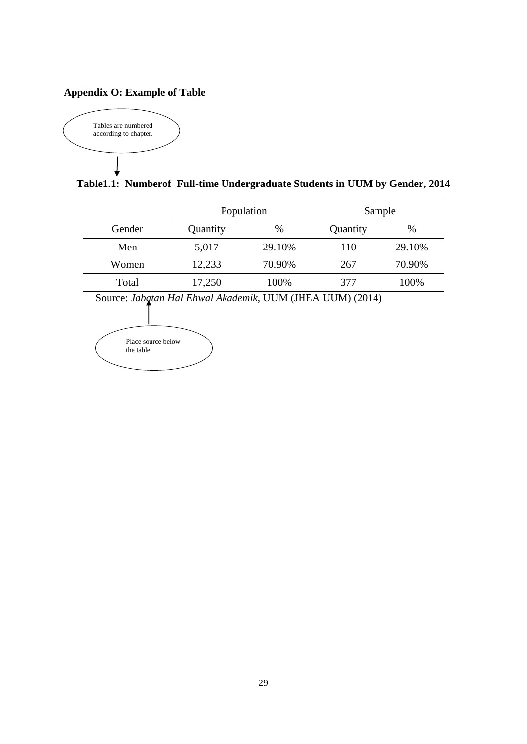# **Appendix O: Example of Table**



**Table1.1: Numberof Full-time Undergraduate Students in UUM by Gender, 2014**

|        |          | Population |          | Sample |  |
|--------|----------|------------|----------|--------|--|
| Gender | Quantity | $\%$       | Quantity | $\%$   |  |
| Men    | 5,017    | 29.10%     | 110      | 29.10% |  |
| Women  | 12,233   | 70.90%     | 267      | 70.90% |  |
| Total  | 17,250   | 100%       | 377      | 100%   |  |
|        |          |            |          |        |  |

Source: *Jabatan Hal Ehwal Akademik*, UUM (JHEA UUM) (2014)